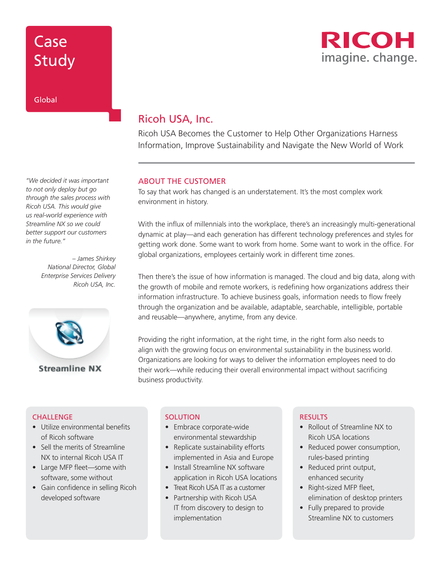# Case Study

### Global

*"We decided it was important to not only deploy but go through the sales process with Ricoh USA. This would give us real-world experience with Streamline NX so we could better support our customers in the future."* 

> *– James Shirkey National Director, Global Enterprise Services Delivery Ricoh USA, Inc.*



### Ricoh USA, Inc.

Ricoh USA Becomes the Customer to Help Other Organizations Harness Information, Improve Sustainability and Navigate the New World of Work

### ABOUT THE CUSTOMER

To say that work has changed is an understatement. It's the most complex work environment in history.

With the influx of millennials into the workplace, there's an increasingly multi-generational dynamic at play—and each generation has different technology preferences and styles for getting work done. Some want to work from home. Some want to work in the office. For global organizations, employees certainly work in different time zones.

Then there's the issue of how information is managed. The cloud and big data, along with the growth of mobile and remote workers, is redefining how organizations address their information infrastructure. To achieve business goals, information needs to flow freely through the organization and be available, adaptable, searchable, intelligible, portable and reusable—anywhere, anytime, from any device.

Providing the right information, at the right time, in the right form also needs to align with the growing focus on environmental sustainability in the business world. Organizations are looking for ways to deliver the information employees need to do their work—while reducing their overall environmental impact without sacrificing business productivity.

#### **CHALLENGE**

- Utilize environmental benefits of Ricoh software
- Sell the merits of Streamline NX to internal Ricoh USA IT
- Large MFP fleet—some with software, some without
- Gain confidence in selling Ricoh developed software

#### **SOLUTION**

- Embrace corporate-wide environmental stewardship
- Replicate sustainability efforts implemented in Asia and Europe
- Install Streamline NX software application in Ricoh USA locations
- Treat Ricoh USA IT as a customer
- Partnership with Ricoh USA IT from discovery to design to implementation

#### RESULTS

- Rollout of Streamline NX to Ricoh USA locations
- Reduced power consumption, rules-based printing
- Reduced print output, enhanced security
- Right-sized MFP fleet, elimination of desktop printers
- Fully prepared to provide Streamline NX to customers

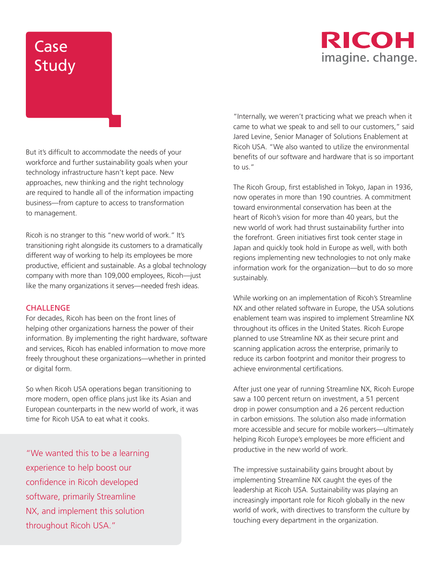## RICOH imagine. change.

# Case Study

But it's difficult to accommodate the needs of your workforce and further sustainability goals when your technology infrastructure hasn't kept pace. New approaches, new thinking and the right technology are required to handle all of the information impacting business—from capture to access to transformation to management.

Ricoh is no stranger to this "new world of work." It's transitioning right alongside its customers to a dramatically different way of working to help its employees be more productive, efficient and sustainable. As a global technology company with more than 109,000 employees, Ricoh—just like the many organizations it serves—needed fresh ideas.

### **CHALLENGE**

For decades, Ricoh has been on the front lines of helping other organizations harness the power of their information. By implementing the right hardware, software and services, Ricoh has enabled information to move more freely throughout these organizations—whether in printed or digital form.

So when Ricoh USA operations began transitioning to more modern, open office plans just like its Asian and European counterparts in the new world of work, it was time for Ricoh USA to eat what it cooks.

"We wanted this to be a learning experience to help boost our confidence in Ricoh developed software, primarily Streamline NX, and implement this solution throughout Ricoh USA."

"Internally, we weren't practicing what we preach when it came to what we speak to and sell to our customers," said Jared Levine, Senior Manager of Solutions Enablement at Ricoh USA. "We also wanted to utilize the environmental benefits of our software and hardware that is so important  $\frac{1}{2}$ 

The Ricoh Group, first established in Tokyo, Japan in 1936, now operates in more than 190 countries. A commitment toward environmental conservation has been at the heart of Ricoh's vision for more than 40 years, but the new world of work had thrust sustainability further into the forefront. Green initiatives first took center stage in Japan and quickly took hold in Europe as well, with both regions implementing new technologies to not only make information work for the organization—but to do so more sustainably.

While working on an implementation of Ricoh's Streamline NX and other related software in Europe, the USA solutions enablement team was inspired to implement Streamline NX throughout its offices in the United States. Ricoh Europe planned to use Streamline NX as their secure print and scanning application across the enterprise, primarily to reduce its carbon footprint and monitor their progress to achieve environmental certifications.

After just one year of running Streamline NX, Ricoh Europe saw a 100 percent return on investment, a 51 percent drop in power consumption and a 26 percent reduction in carbon emissions. The solution also made information more accessible and secure for mobile workers—ultimately helping Ricoh Europe's employees be more efficient and productive in the new world of work.

The impressive sustainability gains brought about by implementing Streamline NX caught the eyes of the leadership at Ricoh USA. Sustainability was playing an increasingly important role for Ricoh globally in the new world of work, with directives to transform the culture by touching every department in the organization.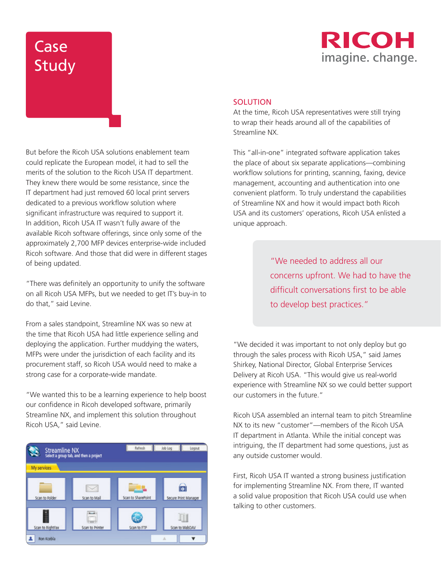# **Case** Study



#### **SOLUTION**

At the time, Ricoh USA representatives were still trying to wrap their heads around all of the capabilities of Streamline NX.

This "all-in-one" integrated software application takes the place of about six separate applications—combining workflow solutions for printing, scanning, faxing, device management, accounting and authentication into one convenient platform. To truly understand the capabilities of Streamline NX and how it would impact both Ricoh USA and its customers' operations, Ricoh USA enlisted a unique approach.

> "We needed to address all our concerns upfront. We had to have the difficult conversations first to be able to develop best practices."

"We decided it was important to not only deploy but go through the sales process with Ricoh USA," said James Shirkey, National Director, Global Enterprise Services Delivery at Ricoh USA. "This would give us real-world experience with Streamline NX so we could better support our customers in the future."

Ricoh USA assembled an internal team to pitch Streamline NX to its new "customer"—members of the Ricoh USA IT department in Atlanta. While the initial concept was intriguing, the IT department had some questions, just as any outside customer would.

First, Ricoh USA IT wanted a strong business justification for implementing Streamline NX. From there, IT wanted a solid value proposition that Ricoh USA could use when talking to other customers.

But before the Ricoh USA solutions enablement team could replicate the European model, it had to sell the merits of the solution to the Ricoh USA IT department. They knew there would be some resistance, since the IT department had just removed 60 local print servers dedicated to a previous workflow solution where significant infrastructure was required to support it. In addition, Ricoh USA IT wasn't fully aware of the available Ricoh software offerings, since only some of the approximately 2,700 MFP devices enterprise-wide included Ricoh software. And those that did were in different stages of being updated.

"There was definitely an opportunity to unify the software on all Ricoh USA MFPs, but we needed to get IT's buy-in to do that," said Levine.

From a sales standpoint, Streamline NX was so new at the time that Ricoh USA had little experience selling and deploying the application. Further muddying the waters, MFPs were under the jurisdiction of each facility and its procurement staff, so Ricoh USA would need to make a strong case for a corporate-wide mandate.

"We wanted this to be a learning experience to help boost our confidence in Ricoh developed software, primarily Streamline NX, and implement this solution throughout Ricoh USA," said Levine.

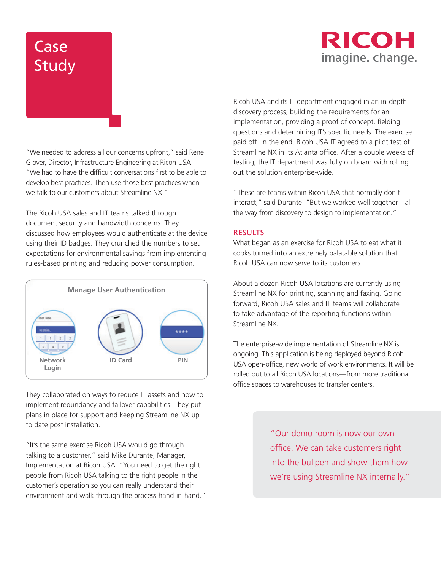### RICOH imagine. change.

# Case Study

"We needed to address all our concerns upfront," said Rene Glover, Director, Infrastructure Engineering at Ricoh USA. "We had to have the difficult conversations first to be able to develop best practices. Then use those best practices when we talk to our customers about Streamline NX."

The Ricoh USA sales and IT teams talked through document security and bandwidth concerns. They discussed how employees would authenticate at the device using their ID badges. They crunched the numbers to set expectations for environmental savings from implementing rules-based printing and reducing power consumption.



They collaborated on ways to reduce IT assets and how to implement redundancy and failover capabilities. They put plans in place for support and keeping Streamline NX up to date post installation.

"It's the same exercise Ricoh USA would go through talking to a customer," said Mike Durante, Manager, Implementation at Ricoh USA. "You need to get the right people from Ricoh USA talking to the right people in the customer's operation so you can really understand their environment and walk through the process hand-in-hand." Ricoh USA and its IT department engaged in an in-depth discovery process, building the requirements for an implementation, providing a proof of concept, fielding questions and determining IT's specific needs. The exercise paid off. In the end, Ricoh USA IT agreed to a pilot test of Streamline NX in its Atlanta office. After a couple weeks of testing, the IT department was fully on board with rolling out the solution enterprise-wide.

"These are teams within Ricoh USA that normally don't interact," said Durante. "But we worked well together—all the way from discovery to design to implementation."

### **RESULTS**

What began as an exercise for Ricoh USA to eat what it cooks turned into an extremely palatable solution that Ricoh USA can now serve to its customers.

About a dozen Ricoh USA locations are currently using Streamline NX for printing, scanning and faxing. Going forward, Ricoh USA sales and IT teams will collaborate to take advantage of the reporting functions within Streamline NX.

The enterprise-wide implementation of Streamline NX is ongoing. This application is being deployed beyond Ricoh USA open-office, new world of work environments. It will be rolled out to all Ricoh USA locations—from more traditional office spaces to warehouses to transfer centers.

> "Our demo room is now our own office. We can take customers right into the bullpen and show them how we're using Streamline NX internally."